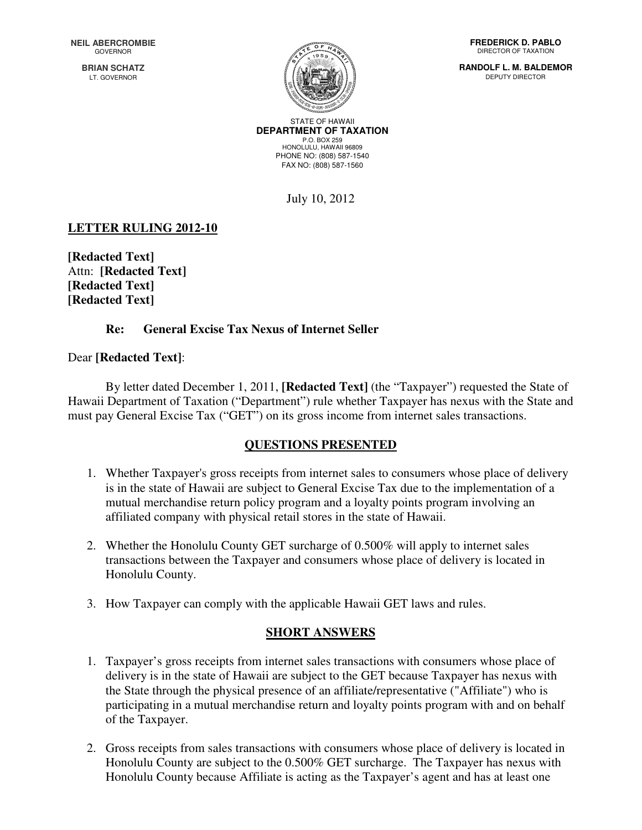**BRIAN SCHATZ** LT. GOVERNOR



STATE OF HAWAII **DEPARTMENT OF TAXATION**  P.O. BOX 259 HONOLULU, HAWAII 96809 PHONE NO: (808) 587-1540 FAX NO: (808) 587-1560

July 10, 2012

# **LETTER RULING 2012-10**

**[Redacted Text]**  Attn: **[Redacted Text] [Redacted Text] [Redacted Text]** 

### **Re: General Excise Tax Nexus of Internet Seller**

### Dear **[Redacted Text]**:

 By letter dated December 1, 2011, **[Redacted Text]** (the "Taxpayer") requested the State of Hawaii Department of Taxation ("Department") rule whether Taxpayer has nexus with the State and must pay General Excise Tax ("GET") on its gross income from internet sales transactions.

## **QUESTIONS PRESENTED**

- 1. Whether Taxpayer's gross receipts from internet sales to consumers whose place of delivery is in the state of Hawaii are subject to General Excise Tax due to the implementation of a mutual merchandise return policy program and a loyalty points program involving an affiliated company with physical retail stores in the state of Hawaii.
- 2. Whether the Honolulu County GET surcharge of 0.500% will apply to internet sales transactions between the Taxpayer and consumers whose place of delivery is located in Honolulu County.
- 3. How Taxpayer can comply with the applicable Hawaii GET laws and rules.

## **SHORT ANSWERS**

- 1. Taxpayer's gross receipts from internet sales transactions with consumers whose place of delivery is in the state of Hawaii are subject to the GET because Taxpayer has nexus with the State through the physical presence of an affiliate/representative ("Affiliate") who is participating in a mutual merchandise return and loyalty points program with and on behalf of the Taxpayer.
- 2. Gross receipts from sales transactions with consumers whose place of delivery is located in Honolulu County are subject to the 0.500% GET surcharge. The Taxpayer has nexus with Honolulu County because Affiliate is acting as the Taxpayer's agent and has at least one

**FREDERICK D. PABLO**  DIRECTOR OF TAXATION

**RANDOLF L. M. BALDEMOR**  DEPUTY DIRECTOR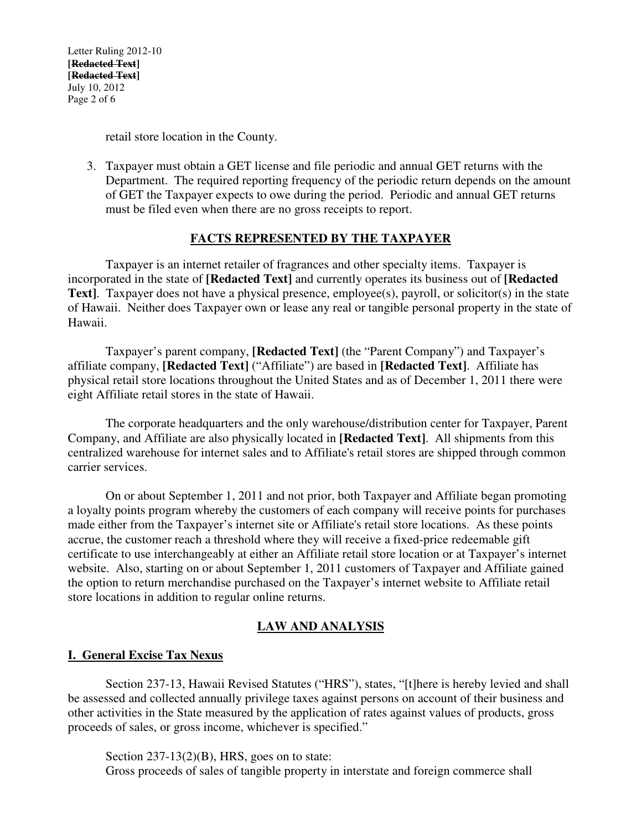Letter Ruling 2012-10 **[Redacted Text] [Redacted Text]**  July 10, 2012 Page 2 of 6

retail store location in the County.

3. Taxpayer must obtain a GET license and file periodic and annual GET returns with the Department. The required reporting frequency of the periodic return depends on the amount of GET the Taxpayer expects to owe during the period. Periodic and annual GET returns must be filed even when there are no gross receipts to report.

### **FACTS REPRESENTED BY THE TAXPAYER**

Taxpayer is an internet retailer of fragrances and other specialty items. Taxpayer is incorporated in the state of **[Redacted Text]** and currently operates its business out of **[Redacted Text**]. Taxpayer does not have a physical presence, employee(s), payroll, or solicitor(s) in the state of Hawaii. Neither does Taxpayer own or lease any real or tangible personal property in the state of Hawaii.

Taxpayer's parent company, **[Redacted Text]** (the "Parent Company") and Taxpayer's affiliate company, **[Redacted Text]** ("Affiliate") are based in **[Redacted Text]**. Affiliate has physical retail store locations throughout the United States and as of December 1, 2011 there were eight Affiliate retail stores in the state of Hawaii.

 The corporate headquarters and the only warehouse/distribution center for Taxpayer, Parent Company, and Affiliate are also physically located in **[Redacted Text]**. All shipments from this centralized warehouse for internet sales and to Affiliate's retail stores are shipped through common carrier services.

 On or about September 1, 2011 and not prior, both Taxpayer and Affiliate began promoting a loyalty points program whereby the customers of each company will receive points for purchases made either from the Taxpayer's internet site or Affiliate's retail store locations. As these points accrue, the customer reach a threshold where they will receive a fixed-price redeemable gift certificate to use interchangeably at either an Affiliate retail store location or at Taxpayer's internet website. Also, starting on or about September 1, 2011 customers of Taxpayer and Affiliate gained the option to return merchandise purchased on the Taxpayer's internet website to Affiliate retail store locations in addition to regular online returns.

## **LAW AND ANALYSIS**

#### **I. General Excise Tax Nexus**

 Section 237-13, Hawaii Revised Statutes ("HRS"), states, "[t]here is hereby levied and shall be assessed and collected annually privilege taxes against persons on account of their business and other activities in the State measured by the application of rates against values of products, gross proceeds of sales, or gross income, whichever is specified."

Section 237-13(2)(B), HRS, goes on to state: Gross proceeds of sales of tangible property in interstate and foreign commerce shall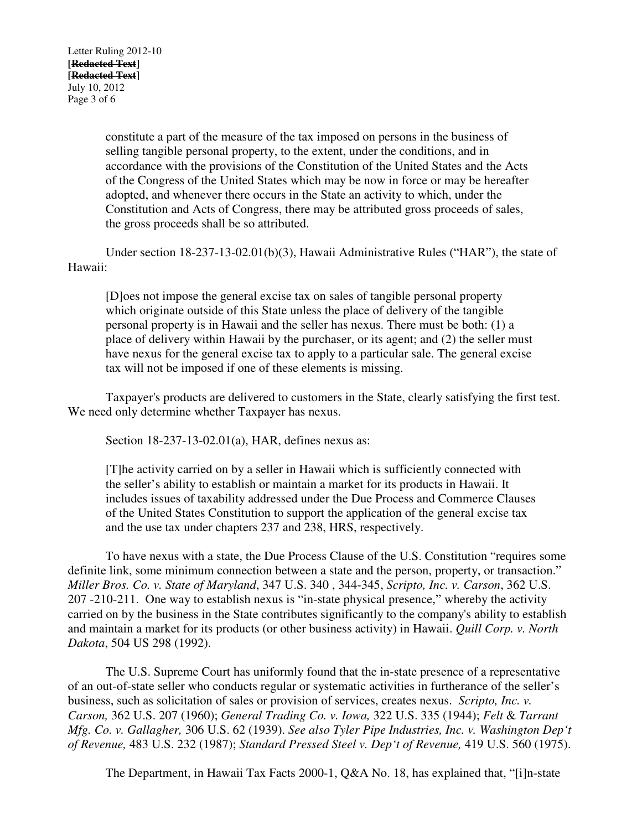constitute a part of the measure of the tax imposed on persons in the business of selling tangible personal property, to the extent, under the conditions, and in accordance with the provisions of the Constitution of the United States and the Acts of the Congress of the United States which may be now in force or may be hereafter adopted, and whenever there occurs in the State an activity to which, under the Constitution and Acts of Congress, there may be attributed gross proceeds of sales, the gross proceeds shall be so attributed.

 Under section 18-237-13-02.01(b)(3), Hawaii Administrative Rules ("HAR"), the state of Hawaii:

[D]oes not impose the general excise tax on sales of tangible personal property which originate outside of this State unless the place of delivery of the tangible personal property is in Hawaii and the seller has nexus. There must be both: (1) a place of delivery within Hawaii by the purchaser, or its agent; and (2) the seller must have nexus for the general excise tax to apply to a particular sale. The general excise tax will not be imposed if one of these elements is missing.

 Taxpayer's products are delivered to customers in the State, clearly satisfying the first test. We need only determine whether Taxpayer has nexus.

Section 18-237-13-02.01(a), HAR, defines nexus as:

[T]he activity carried on by a seller in Hawaii which is sufficiently connected with the seller's ability to establish or maintain a market for its products in Hawaii. It includes issues of taxability addressed under the Due Process and Commerce Clauses of the United States Constitution to support the application of the general excise tax and the use tax under chapters 237 and 238, HRS, respectively.

 To have nexus with a state, the Due Process Clause of the U.S. Constitution "requires some definite link, some minimum connection between a state and the person, property, or transaction." *Miller Bros. Co. v. State of Maryland*, 347 U.S. 340 , 344-345, *Scripto, Inc. v. Carson*, 362 U.S. 207 -210-211. One way to establish nexus is "in-state physical presence," whereby the activity carried on by the business in the State contributes significantly to the company's ability to establish and maintain a market for its products (or other business activity) in Hawaii. *Quill Corp. v. North Dakota*, 504 US 298 (1992).

 The U.S. Supreme Court has uniformly found that the in-state presence of a representative of an out-of-state seller who conducts regular or systematic activities in furtherance of the seller's business, such as solicitation of sales or provision of services, creates nexus. *Scripto, Inc. v. Carson,* 362 U.S. 207 (1960); *General Trading Co. v. Iowa,* 322 U.S. 335 (1944); *Felt* & *Tarrant Mfg. Co. v. Gallagher,* 306 U.S. 62 (1939). *See also Tyler Pipe Industries, Inc. V. Washington Dep't of Revenue,* 483 U.S. 232 (1987); *Standard Pressed Steel v. Dep't of Revenue,* 419 U.S. 560 (1975).

The Department, in Hawaii Tax Facts 2000-1, Q&A No. 18, has explained that, "[i]n-state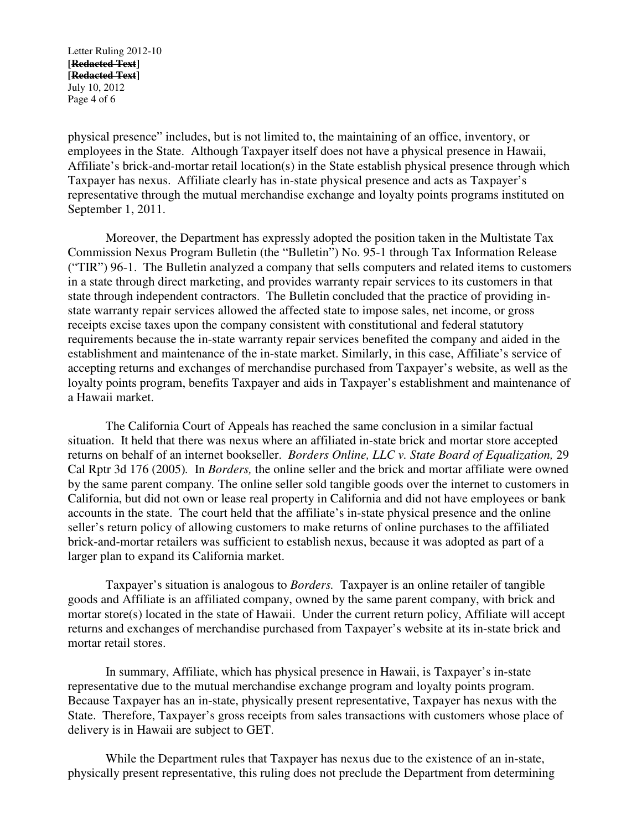Letter Ruling 2012-10 **[Redacted Text] [Redacted Text]**  July 10, 2012 Page 4 of 6

physical presence" includes, but is not limited to, the maintaining of an office, inventory, or employees in the State. Although Taxpayer itself does not have a physical presence in Hawaii, Affiliate's brick-and-mortar retail location(s) in the State establish physical presence through which Taxpayer has nexus. Affiliate clearly has in-state physical presence and acts as Taxpayer's representative through the mutual merchandise exchange and loyalty points programs instituted on September 1, 2011.

Moreover, the Department has expressly adopted the position taken in the Multistate Tax Commission Nexus Program Bulletin (the "Bulletin") No. 95-1 through Tax Information Release ("TIR") 96-1. The Bulletin analyzed a company that sells computers and related items to customers in a state through direct marketing, and provides warranty repair services to its customers in that state through independent contractors. The Bulletin concluded that the practice of providing instate warranty repair services allowed the affected state to impose sales, net income, or gross receipts excise taxes upon the company consistent with constitutional and federal statutory requirements because the in-state warranty repair services benefited the company and aided in the establishment and maintenance of the in-state market. Similarly, in this case, Affiliate's service of accepting returns and exchanges of merchandise purchased from Taxpayer's website, as well as the loyalty points program, benefits Taxpayer and aids in Taxpayer's establishment and maintenance of a Hawaii market.

 The California Court of Appeals has reached the same conclusion in a similar factual situation. It held that there was nexus where an affiliated in-state brick and mortar store accepted returns on behalf of an internet bookseller. *Borders Online, LLC v. State Board of Equalization,* 29 Cal Rptr 3d 176 (2005)*.* In *Borders,* the online seller and the brick and mortar affiliate were owned by the same parent company*.* The online seller sold tangible goods over the internet to customers in California, but did not own or lease real property in California and did not have employees or bank accounts in the state. The court held that the affiliate's in-state physical presence and the online seller's return policy of allowing customers to make returns of online purchases to the affiliated brick-and-mortar retailers was sufficient to establish nexus, because it was adopted as part of a larger plan to expand its California market.

 Taxpayer's situation is analogous to *Borders.* Taxpayer is an online retailer of tangible goods and Affiliate is an affiliated company, owned by the same parent company, with brick and mortar store(s) located in the state of Hawaii. Under the current return policy, Affiliate will accept returns and exchanges of merchandise purchased from Taxpayer's website at its in-state brick and mortar retail stores.

 In summary, Affiliate, which has physical presence in Hawaii, is Taxpayer's in-state representative due to the mutual merchandise exchange program and loyalty points program. Because Taxpayer has an in-state, physically present representative, Taxpayer has nexus with the State. Therefore, Taxpayer's gross receipts from sales transactions with customers whose place of delivery is in Hawaii are subject to GET.

 While the Department rules that Taxpayer has nexus due to the existence of an in-state, physically present representative, this ruling does not preclude the Department from determining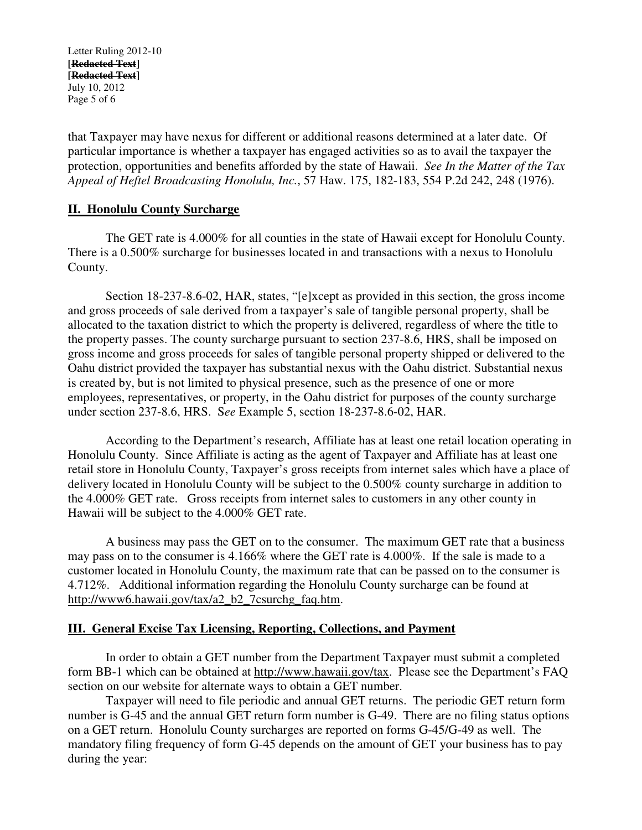Letter Ruling 2012-10 **[Redacted Text] [Redacted Text]**  July 10, 2012 Page 5 of 6

that Taxpayer may have nexus for different or additional reasons determined at a later date. Of particular importance is whether a taxpayer has engaged activities so as to avail the taxpayer the protection, opportunities and benefits afforded by the state of Hawaii. *See In the Matter of the Tax Appeal of Heftel Broadcasting Honolulu, Inc.*, 57 Haw. 175, 182-183, 554 P.2d 242, 248 (1976).

### **II. Honolulu County Surcharge**

 The GET rate is 4.000% for all counties in the state of Hawaii except for Honolulu County. There is a 0.500% surcharge for businesses located in and transactions with a nexus to Honolulu County.

 Section 18-237-8.6-02, HAR, states, "[e]xcept as provided in this section, the gross income and gross proceeds of sale derived from a taxpayer's sale of tangible personal property, shall be allocated to the taxation district to which the property is delivered, regardless of where the title to the property passes. The county surcharge pursuant to section 237-8.6, HRS, shall be imposed on gross income and gross proceeds for sales of tangible personal property shipped or delivered to the Oahu district provided the taxpayer has substantial nexus with the Oahu district. Substantial nexus is created by, but is not limited to physical presence, such as the presence of one or more employees, representatives, or property, in the Oahu district for purposes of the county surcharge under section 237-8.6, HRS. S*ee* Example 5, section 18-237-8.6-02, HAR.

According to the Department's research, Affiliate has at least one retail location operating in Honolulu County. Since Affiliate is acting as the agent of Taxpayer and Affiliate has at least one retail store in Honolulu County, Taxpayer's gross receipts from internet sales which have a place of delivery located in Honolulu County will be subject to the 0.500% county surcharge in addition to the 4.000% GET rate. Gross receipts from internet sales to customers in any other county in Hawaii will be subject to the 4.000% GET rate.

A business may pass the GET on to the consumer. The maximum GET rate that a business may pass on to the consumer is 4.166% where the GET rate is 4.000%. If the sale is made to a customer located in Honolulu County, the maximum rate that can be passed on to the consumer is 4.712%. Additional information regarding the Honolulu County surcharge can be found at http://www6.hawaii.gov/tax/a2\_b2\_7csurchg\_faq.htm.

#### **III. General Excise Tax Licensing, Reporting, Collections, and Payment**

 In order to obtain a GET number from the Department Taxpayer must submit a completed form BB-1 which can be obtained at http://www.hawaii.gov/tax. Please see the Department's FAQ section on our website for alternate ways to obtain a GET number.

 Taxpayer will need to file periodic and annual GET returns. The periodic GET return form number is G-45 and the annual GET return form number is G-49. There are no filing status options on a GET return. Honolulu County surcharges are reported on forms G-45/G-49 as well. The mandatory filing frequency of form G-45 depends on the amount of GET your business has to pay during the year: